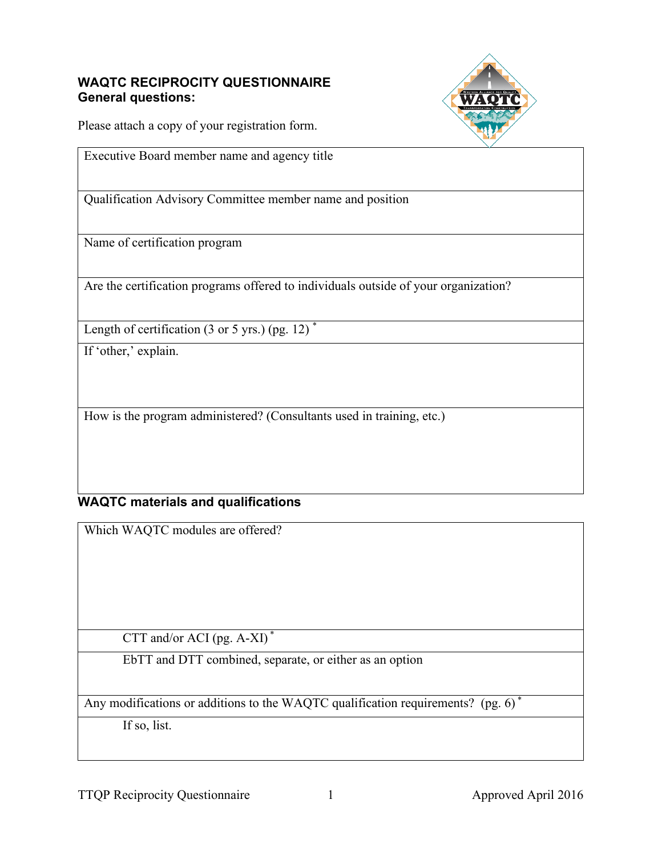### **WAQTC RECIPROCITY QUESTIONNAIRE General questions:**



Please attach a copy of your registration form.

Executive Board member name and agency title

Qualification Advisory Committee member name and position

Name of certification program

Are the certification programs offered to individuals outside of your organization?

Length of certification  $(3 \text{ or } 5 \text{ yrs.})$  (pg. 12)<sup>\*</sup>

If 'other,' explain.

How is the program administered? (Consultants used in training, etc.)

# **WAQTC materials and qualifications**

Which WAQTC modules are offered?

CTT and/or ACI (pg. A-XI) \*

EbTT and DTT combined, separate, or either as an option

Any modifications or additions to the WAQTC qualification requirements? (pg. 6)<sup>\*</sup>

If so, list.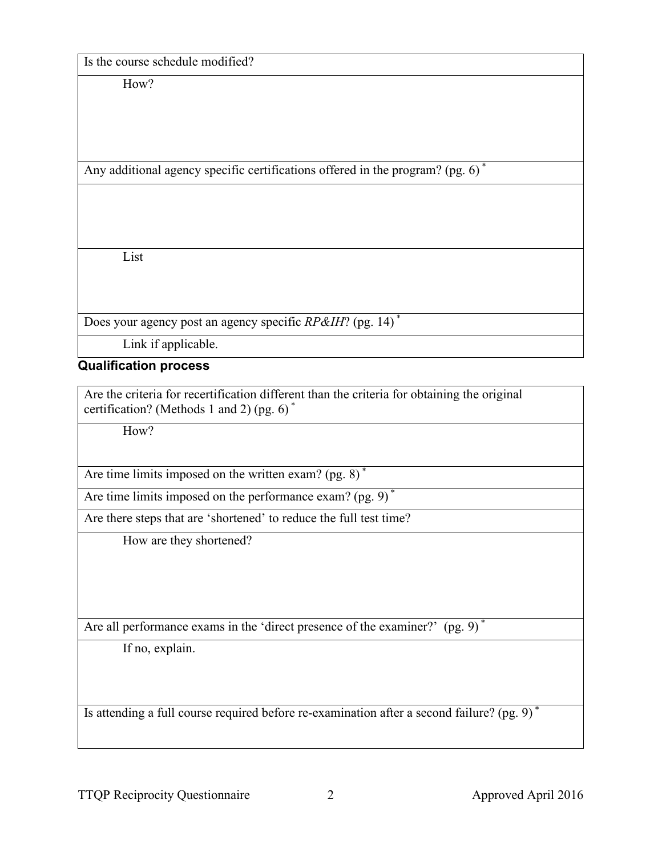Is the course schedule modified?

How?

Any additional agency specific certifications offered in the program? (pg. 6) \*

List

Does your agency post an agency specific *RP&IH*? (pg. 14) \*

Link if applicable.

## **Qualification process**

Are the criteria for recertification different than the criteria for obtaining the original certification? (Methods 1 and 2) (pg. 6) \*

How?

Are time limits imposed on the written exam? (pg. 8)<sup>\*</sup>

Are time limits imposed on the performance exam? (pg. 9)<sup>\*</sup>

Are there steps that are 'shortened' to reduce the full test time?

How are they shortened?

Are all performance exams in the 'direct presence of the examiner?' (pg. 9)<sup>\*</sup>

If no, explain.

Is attending a full course required before re-examination after a second failure? (pg. 9) \*